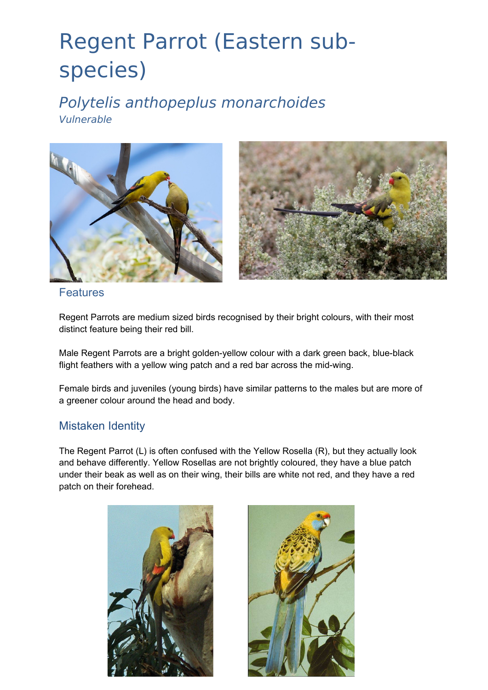# Regent Parrot (Eastern subspecies)

Polytelis anthopeplus monarchoides Vulnerable





Features

Regent Parrots are medium sized birds recognised by their bright colours, with their most distinct feature being their red bill.

Male Regent Parrots are a bright golden-yellow colour with a dark green back, blue-black flight feathers with a yellow wing patch and a red bar across the mid-wing.

Female birds and juveniles (young birds) have similar patterns to the males but are more of a greener colour around the head and body.

### Mistaken Identity

The Regent Parrot (L) is often confused with the Yellow Rosella (R), but they actually look and behave differently. Yellow Rosellas are not brightly coloured, they have a blue patch under their beak as well as on their wing, their bills are white not red, and they have a red patch on their forehead.



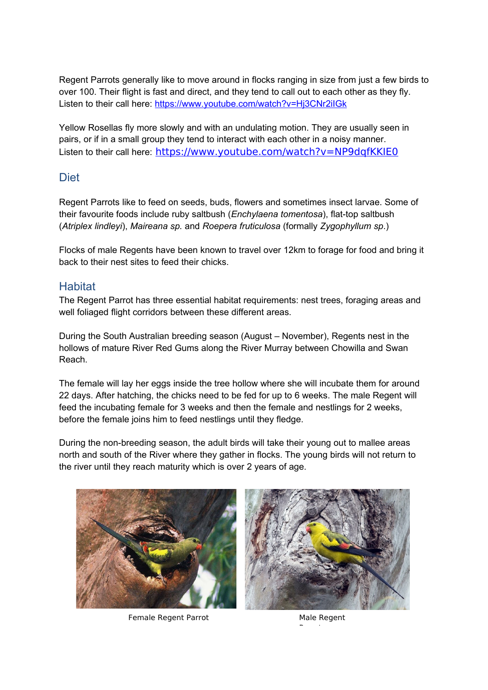Regent Parrots generally like to move around in flocks ranging in size from just a few birds to over 100. Their flight is fast and direct, and they tend to call out to each other as they fly. Listen to their call here:<https://www.youtube.com/watch?v=Hj3CNr2iIGk>

Yellow Rosellas fly more slowly and with an undulating motion. They are usually seen in pairs, or if in a small group they tend to interact with each other in a noisy manner. Listen to their call here: <https://www.youtube.com/watch?v=NP9dqfKKIE0>

#### **Diet**

Regent Parrots like to feed on seeds, buds, flowers and sometimes insect larvae. Some of their favourite foods include ruby saltbush (*Enchylaena tomentosa*), flat-top saltbush (*Atriplex lindleyi*), *Maireana sp.* and *Roepera fruticulosa* (formally *Zygophyllum sp*.)

Flocks of male Regents have been known to travel over 12km to forage for food and bring it back to their nest sites to feed their chicks.

#### **Habitat**

The Regent Parrot has three essential habitat requirements: nest trees, foraging areas and well foliaged flight corridors between these different areas.

During the South Australian breeding season (August – November), Regents nest in the hollows of mature River Red Gums along the River Murray between Chowilla and Swan Reach.

The female will lay her eggs inside the tree hollow where she will incubate them for around 22 days. After hatching, the chicks need to be fed for up to 6 weeks. The male Regent will feed the incubating female for 3 weeks and then the female and nestlings for 2 weeks, before the female joins him to feed nestlings until they fledge.

During the non-breeding season, the adult birds will take their young out to mallee areas north and south of the River where they gather in flocks. The young birds will not return to the river until they reach maturity which is over 2 years of age.



Female Regent Parrot Male Regent



Parrot